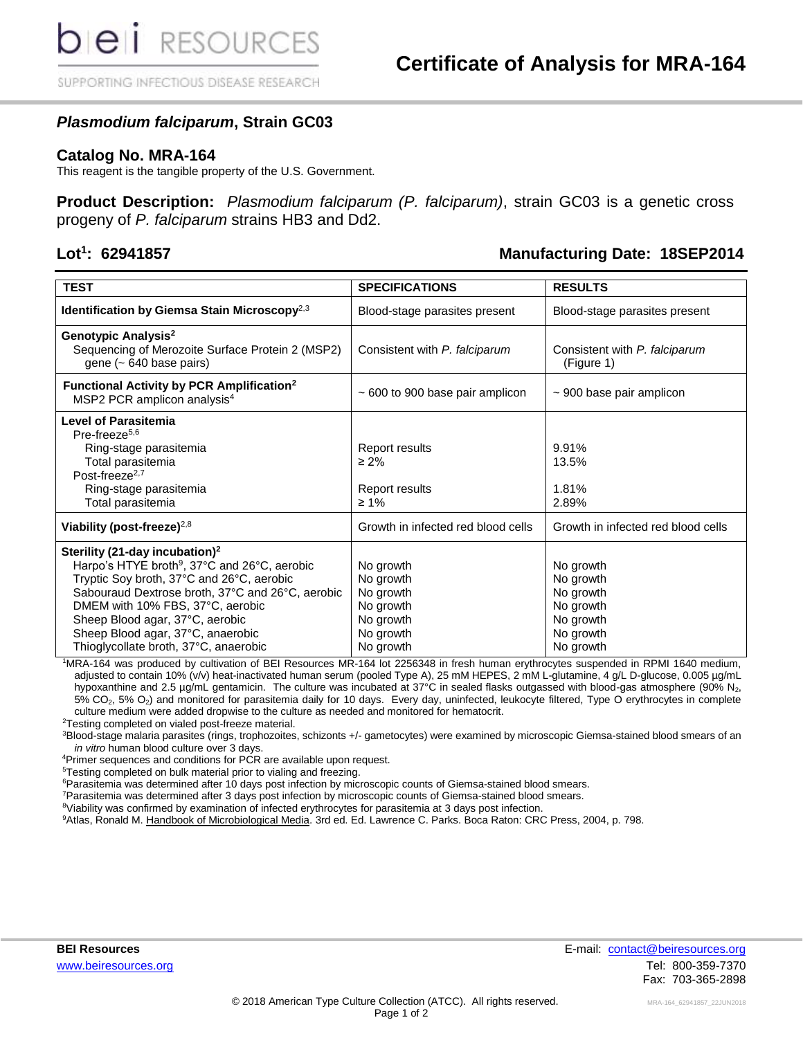SUPPORTING INFECTIOUS DISEASE RESEARCH

## *Plasmodium falciparum***, Strain GC03**

#### **Catalog No. MRA-164**

This reagent is the tangible property of the U.S. Government.

**Product Description:** *Plasmodium falciparum (P. falciparum)*, strain GC03 is a genetic cross progeny of *P. falciparum* strains HB3 and Dd2.

#### Lot<sup>1</sup>: 62941857

#### **: 62941857 Manufacturing Date: 18SEP2014**

| <b>TEST</b>                                                                                                                                                                                                                                                                                                                                                  | <b>SPECIFICATIONS</b>                                                                   | <b>RESULTS</b>                                                                          |  |  |
|--------------------------------------------------------------------------------------------------------------------------------------------------------------------------------------------------------------------------------------------------------------------------------------------------------------------------------------------------------------|-----------------------------------------------------------------------------------------|-----------------------------------------------------------------------------------------|--|--|
| Identification by Giemsa Stain Microscopy <sup>2,3</sup>                                                                                                                                                                                                                                                                                                     | Blood-stage parasites present                                                           | Blood-stage parasites present                                                           |  |  |
| Genotypic Analysis <sup>2</sup><br>Sequencing of Merozoite Surface Protein 2 (MSP2)<br>gene $(-640 \text{ base pairs})$                                                                                                                                                                                                                                      | Consistent with P. falciparum                                                           | Consistent with P. falciparum<br>(Figure 1)                                             |  |  |
| Functional Activity by PCR Amplification <sup>2</sup><br>MSP2 PCR amplicon analysis <sup>4</sup>                                                                                                                                                                                                                                                             | $\sim$ 600 to 900 base pair amplicon                                                    | $\sim$ 900 base pair amplicon                                                           |  |  |
| <b>Level of Parasitemia</b><br>Pre-freeze <sup>5,6</sup><br>Ring-stage parasitemia<br>Total parasitemia<br>Post-freeze <sup>2,7</sup><br>Ring-stage parasitemia<br>Total parasitemia                                                                                                                                                                         | Report results<br>$\geq 2\%$<br>Report results<br>$\geq 1\%$                            | 9.91%<br>13.5%<br>1.81%<br>2.89%                                                        |  |  |
| Viability (post-freeze) $^{2,8}$                                                                                                                                                                                                                                                                                                                             | Growth in infected red blood cells                                                      | Growth in infected red blood cells                                                      |  |  |
| Sterility (21-day incubation) <sup>2</sup><br>Harpo's HTYE broth <sup>9</sup> , 37°C and 26°C, aerobic<br>Tryptic Soy broth, 37°C and 26°C, aerobic<br>Sabouraud Dextrose broth, 37°C and 26°C, aerobic<br>DMEM with 10% FBS, 37°C, aerobic<br>Sheep Blood agar, 37°C, aerobic<br>Sheep Blood agar, 37°C, anaerobic<br>Thioglycollate broth, 37°C, anaerobic | No growth<br>No growth<br>No growth<br>No growth<br>No growth<br>No growth<br>No growth | No growth<br>No growth<br>No growth<br>No growth<br>No growth<br>No growth<br>No growth |  |  |

<sup>1</sup>MRA-164 was produced by cultivation of BEI Resources MR-164 lot 2256348 in fresh human erythrocytes suspended in RPMI 1640 medium, adjusted to contain 10% (v/v) heat-inactivated human serum (pooled Type A), 25 mM HEPES, 2 mM L-glutamine, 4 g/L D-glucose, 0.005 µg/mL hypoxanthine and 2.5 µg/mL gentamicin. The culture was incubated at 37°C in sealed flasks outgassed with blood-gas atmosphere (90% N<sub>2</sub>, 5% CO<sub>2</sub>, 5% O<sub>2</sub>) and monitored for parasitemia daily for 10 days. Every day, uninfected, leukocyte filtered, Type O erythrocytes in complete culture medium were added dropwise to the culture as needed and monitored for hematocrit.

<sup>2</sup>Testing completed on vialed post-freeze material.

<sup>3</sup>Blood-stage malaria parasites (rings, trophozoites, schizonts +/- gametocytes) were examined by microscopic Giemsa-stained blood smears of an *in vitro* human blood culture over 3 days.

<sup>4</sup>Primer sequences and conditions for PCR are available upon request.

<sup>5</sup>Testing completed on bulk material prior to vialing and freezing.

<sup>6</sup>Parasitemia was determined after 10 days post infection by microscopic counts of Giemsa-stained blood smears.

<sup>7</sup>Parasitemia was determined after 3 days post infection by microscopic counts of Giemsa-stained blood smears.

<sup>8</sup>Viability was confirmed by examination of infected erythrocytes for parasitemia at 3 days post infection.

9Atlas, Ronald M. Handbook of Microbiological Media. 3rd ed. Ed[. Lawrence C. Parks.](http://www.amazon.com/exec/obidos/search-handle-url/index=books&field-author-exact=Lawrence%20C.%20Parks/104-1274331-9818336) Boca Raton: CRC Press, 2004, p. 798.